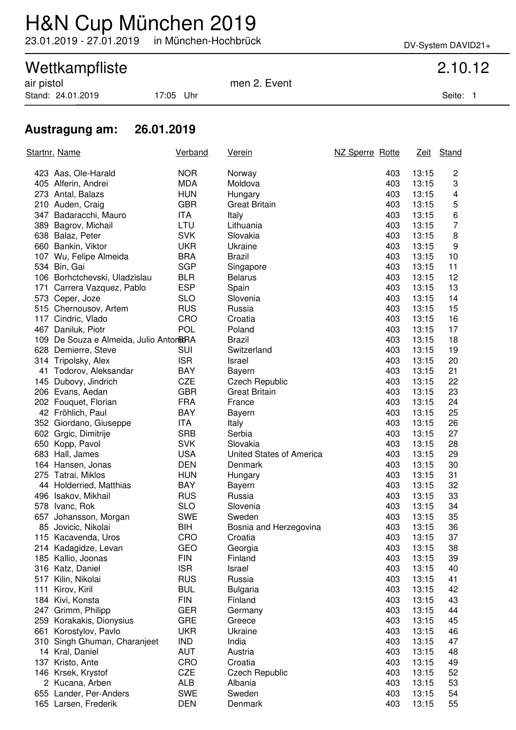# H&N Cup München 2019

23.01.2019 - 27.01.2019 in München-Hochbrück DV-System DAVID21+

## Wettkampfliste 2.10.12

Stand: 24.01.2019 17:05 Uhr Seite: 1

air pistol men 2. Event

### **Austragung am: 26.01.2019**

|     | Startnr. Name                           | <b>Verband</b> | <u>Verein</u>            | NZ Sperre Rotte |     | <u>Zeit</u> | Stand |
|-----|-----------------------------------------|----------------|--------------------------|-----------------|-----|-------------|-------|
|     | 423 Aas, Ole-Harald                     | <b>NOR</b>     | Norway                   |                 | 403 | 13:15       | 2     |
|     | 405 Alferin, Andrei                     | <b>MDA</b>     | Moldova                  |                 | 403 | 13:15       | 3     |
|     | 273 Antal, Balazs                       | <b>HUN</b>     | Hungary                  |                 | 403 | 13:15       | 4     |
|     | 210 Auden, Craig                        | <b>GBR</b>     | <b>Great Britain</b>     |                 | 403 | 13:15       | 5     |
|     | 347 Badaracchi, Mauro                   | ITA            | Italy                    |                 | 403 | 13:15       | 6     |
|     | 389 Bagrov, Michail                     | LTU            | Lithuania                |                 | 403 | 13:15       | 7     |
|     | 638 Balaz, Peter                        | <b>SVK</b>     | Slovakia                 |                 | 403 | 13:15       | 8     |
|     | 660 Bankin, Viktor                      | <b>UKR</b>     | Ukraine                  |                 | 403 | 13:15       | 9     |
|     | 107 Wu, Felipe Almeida                  | <b>BRA</b>     | <b>Brazil</b>            |                 | 403 | 13:15       | 10    |
|     | 534 Bin, Gai                            | <b>SGP</b>     | Singapore                |                 | 403 | 13:15       | 11    |
|     | 106 Borhctchevski, Uladzislau           | <b>BLR</b>     | <b>Belarus</b>           |                 | 403 | 13:15       | 12    |
|     | 171 Carrera Vazquez, Pablo              | <b>ESP</b>     | Spain                    |                 | 403 | 13:15       | 13    |
|     | 573 Ceper, Joze                         | <b>SLO</b>     | Slovenia                 |                 | 403 | 13:15       | 14    |
|     | 515 Chernousov, Artem                   | <b>RUS</b>     | Russia                   |                 | 403 | 13:15       | 15    |
|     | 117 Cindric, Vlado                      | <b>CRO</b>     | Croatia                  |                 | 403 | 13:15       | 16    |
|     | 467 Daniluk, Piotr                      | <b>POL</b>     | Poland                   |                 | 403 | 13:15       | 17    |
|     | 109 De Souza e Almeida, Julio Antor BRA |                | <b>Brazil</b>            |                 | 403 | 13:15       | 18    |
|     | 628 Demierre, Steve                     | <b>SUI</b>     | Switzerland              |                 | 403 | 13:15       | 19    |
|     | 314 Tripolsky, Alex                     | <b>ISR</b>     | Israel                   |                 | 403 | 13:15       | 20    |
|     | 41 Todorov, Aleksandar                  | <b>BAY</b>     | Bayern                   |                 | 403 | 13:15       | 21    |
|     | 145 Dubovy, Jindrich                    | <b>CZE</b>     | <b>Czech Republic</b>    |                 | 403 | 13:15       | 22    |
|     | 206 Evans, Aedan                        | <b>GBR</b>     | <b>Great Britain</b>     |                 | 403 | 13:15       | 23    |
|     | 202 Fouquet, Florian                    | <b>FRA</b>     | France                   |                 | 403 | 13:15       | 24    |
|     | 42 Fröhlich, Paul                       | <b>BAY</b>     | Bayern                   |                 | 403 | 13:15       | 25    |
|     | 352 Giordano, Giuseppe                  | <b>ITA</b>     | Italy                    |                 | 403 | 13:15       | 26    |
|     | 602 Grgic, Dimitrije                    | <b>SRB</b>     | Serbia                   |                 | 403 | 13:15       | 27    |
|     | 650 Kopp, Pavol                         | <b>SVK</b>     | Slovakia                 |                 | 403 | 13:15       | 28    |
|     | 683 Hall, James                         | <b>USA</b>     | United States of America |                 | 403 | 13:15       | 29    |
|     | 164 Hansen, Jonas                       | <b>DEN</b>     | Denmark                  |                 | 403 | 13:15       | 30    |
|     | 275 Tatrai, Miklos                      | <b>HUN</b>     | Hungary                  |                 | 403 | 13:15       | 31    |
|     | 44 Holderried, Matthias                 | <b>BAY</b>     | Bayern                   |                 | 403 | 13:15       | 32    |
|     | 496 Isakov, Mikhail                     | <b>RUS</b>     | Russia                   |                 | 403 | 13:15       | 33    |
|     | 578 Ivanc, Rok                          | <b>SLO</b>     | Slovenia                 |                 | 403 | 13:15       | 34    |
| 657 | Johansson, Morgan                       | <b>SWE</b>     | Sweden                   |                 | 403 | 13:15       | 35    |
|     | 85 Jovicic, Nikolai                     | BIH            | Bosnia and Herzegovina   |                 | 403 | 13:15       | 36    |
|     | 115 Kacavenda, Uros                     | CRO            | Croatia                  |                 | 403 | 13:15       | 37    |
|     | 214 Kadagidze, Levan                    | GEO            | Georgia                  |                 | 403 | 13:15       | 38    |
|     | 185 Kallio, Joonas                      | <b>FIN</b>     | Finland                  |                 | 403 | 13:15       | 39    |
|     | 316 Katz, Daniel                        | <b>ISR</b>     | Israel                   |                 | 403 | 13:15       | 40    |
| 517 | Kilin, Nikolai                          | <b>RUS</b>     | Russia                   |                 | 403 | 13:15       | 41    |
| 111 | Kirov, Kiril                            | <b>BUL</b>     | <b>Bulgaria</b>          |                 | 403 | 13:15       | 42    |
|     | 184 Kivi, Konsta                        | <b>FIN</b>     | Finland                  |                 | 403 | 13:15       | 43    |
| 247 | Grimm, Philipp                          | <b>GER</b>     | Germany                  |                 | 403 | 13:15       | 44    |
|     | 259 Korakakis, Dionysius                | <b>GRE</b>     | Greece                   |                 | 403 | 13:15       | 45    |
| 661 | Korostylov, Pavlo                       | <b>UKR</b>     | Ukraine                  |                 | 403 | 13:15       | 46    |
|     | 310 Singh Ghuman, Charanjeet            | <b>IND</b>     | India                    |                 | 403 | 13:15       | 47    |
|     | 14 Kral, Daniel                         | <b>AUT</b>     | Austria                  |                 | 403 | 13:15       | 48    |
|     | 137 Kristo, Ante                        | CRO            | Croatia                  |                 | 403 | 13:15       | 49    |
|     | 146 Krsek, Krystof                      | <b>CZE</b>     | <b>Czech Republic</b>    |                 | 403 | 13:15       | 52    |
|     | 2 Kucana, Arben                         | <b>ALB</b>     | Albania                  |                 | 403 | 13:15       | 53    |
|     | 655 Lander, Per-Anders                  | <b>SWE</b>     | Sweden                   |                 | 403 | 13:15       | 54    |
|     | 165 Larsen, Frederik                    | <b>DEN</b>     | Denmark                  |                 | 403 | 13:15       | 55    |